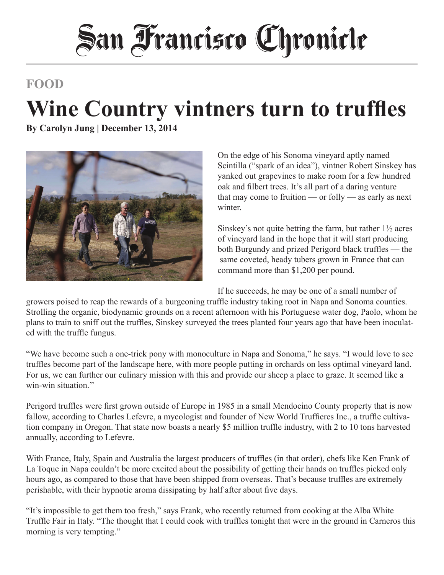# **San Francisco Chronicle**

### **FOOD**

## **Wine Country vintners turn to truffles**

**By Carolyn Jung | December 13, 2014**



On the edge of his Sonoma vineyard aptly named Scintilla ("spark of an idea"), vintner Robert Sinskey has yanked out grapevines to make room for a few hundred oak and filbert trees. It's all part of a daring venture that may come to fruition — or folly — as early as next winter

Sinskey's not quite betting the farm, but rather  $1\frac{1}{2}$  acres of vineyard land in the hope that it will start producing both Burgundy and prized Perigord black truffles — the same coveted, heady tubers grown in France that can command more than \$1,200 per pound.

If he succeeds, he may be one of a small number of

growers poised to reap the rewards of a burgeoning truffle industry taking root in Napa and Sonoma counties. Strolling the organic, biodynamic grounds on a recent afternoon with his Portuguese water dog, Paolo, whom he plans to train to sniff out the truffles, Sinskey surveyed the trees planted four years ago that have been inoculated with the truffle fungus.

"We have become such a one-trick pony with monoculture in Napa and Sonoma," he says. "I would love to see truffles become part of the landscape here, with more people putting in orchards on less optimal vineyard land. For us, we can further our culinary mission with this and provide our sheep a place to graze. It seemed like a win-win situation.''

Perigord truffles were first grown outside of Europe in 1985 in a small Mendocino County property that is now fallow, according to Charles Lefevre, a mycologist and founder of New World Truffieres Inc., a truffle cultivation company in Oregon. That state now boasts a nearly \$5 million truffle industry, with 2 to 10 tons harvested annually, according to Lefevre.

With France, Italy, Spain and Australia the largest producers of truffles (in that order), chefs like Ken Frank of La Toque in Napa couldn't be more excited about the possibility of getting their hands on truffles picked only hours ago, as compared to those that have been shipped from overseas. That's because truffles are extremely perishable, with their hypnotic aroma dissipating by half after about five days.

"It's impossible to get them too fresh," says Frank, who recently returned from cooking at the Alba White Truffle Fair in Italy. "The thought that I could cook with truffles tonight that were in the ground in Carneros this morning is very tempting."